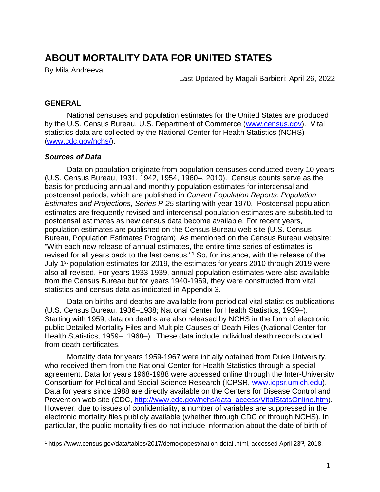# **ABOUT MORTALITY DATA FOR UNITED STATES**

By Mila Andreeva

Last Updated by Magali Barbieri: April 26, 2022

#### **GENERAL**

National censuses and population estimates for the United States are produced by the U.S. Census Bureau, U.S. Department of Commerce [\(www.census.gov\)](http://www.census.gov/). Vital statistics data are collected by the National Center for Health Statistics (NCHS) [\(www.cdc.gov/nchs/\)](http://www.cdc.gov/nchs/).

#### *Sources of Data*

Data on population originate from population censuses conducted every 10 years (U.S. Census Bureau, 1931, 1942, 1954, 1960–, 2010). Census counts serve as the basis for producing annual and monthly population estimates for intercensal and postcensal periods, which are published in *Current Population Reports: Population Estimates and Projections, Series P-25* starting with year 1970. Postcensal population estimates are frequently revised and intercensal population estimates are substituted to postcensal estimates as new census data become available. For recent years, population estimates are published on the Census Bureau web site (U.S. Census Bureau, Population Estimates Program). As mentioned on the Census Bureau website: "With each new release of annual estimates, the entire time series of estimates is revised for all years back to the last census."<sup>1</sup> So, for instance, with the release of the July 1st population estimates for 2019, the estimates for years 2010 through 2019 were also all revised. For years 1933-1939, annual population estimates were also available from the Census Bureau but for years 1940-1969, they were constructed from vital statistics and census data as indicated in Appendix 3.

Data on births and deaths are available from periodical vital statistics publications (U.S. Census Bureau, 1936–1938; National Center for Health Statistics, 1939–). Starting with 1959, data on deaths are also released by NCHS in the form of electronic public Detailed Mortality Files and Multiple Causes of Death Files (National Center for Health Statistics, 1959–, 1968–). These data include individual death records coded from death certificates.

Mortality data for years 1959-1967 were initially obtained from Duke University, who received them from the National Center for Health Statistics through a special agreement. Data for years 1968-1988 were accessed online through the Inter-University Consortium for Political and Social Science Research (ICPSR, [www.icpsr.umich.edu\)](http://www.icpsr.umich.edu/). Data for years since 1988 are directly available on the Centers for Disease Control and Prevention web site (CDC, [http://www.cdc.gov/nchs/data\\_access/VitalStatsOnline.htm\)](http://www.cdc.gov/nchs/data_access/VitalStatsOnline.htm). However, due to issues of confidentiality, a number of variables are suppressed in the electronic mortality files publicly available (whether through CDC or through NCHS). In particular, the public mortality files do not include information about the date of birth of

<sup>1</sup> https://www.census.gov/data/tables/2017/demo/popest/nation-detail.html, accessed April 23rd, 2018.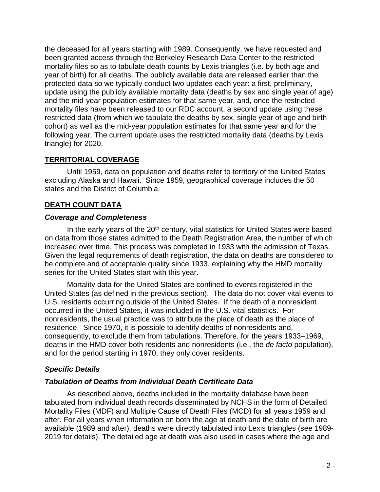the deceased for all years starting with 1989. Consequently, we have requested and been granted access through the Berkeley Research Data Center to the restricted mortality files so as to tabulate death counts by Lexis triangles (i.e. by both age and year of birth) for all deaths. The publicly available data are released earlier than the protected data so we typically conduct two updates each year: a first, preliminary, update using the publicly available mortality data (deaths by sex and single year of age) and the mid-year population estimates for that same year, and, once the restricted mortality files have been released to our RDC account, a second update using these restricted data (from which we tabulate the deaths by sex, single year of age and birth cohort) as well as the mid-year population estimates for that same year and for the following year. The current update uses the restricted mortality data (deaths by Lexis triangle) for 2020.

#### **TERRITORIAL COVERAGE**

Until 1959, data on population and deaths refer to territory of the United States excluding Alaska and Hawaii. Since 1959, geographical coverage includes the 50 states and the District of Columbia.

### **DEATH COUNT DATA**

#### *Coverage and Completeness*

In the early years of the 20<sup>th</sup> century, vital statistics for United States were based on data from those states admitted to the Death Registration Area, the number of which increased over time. This process was completed in 1933 with the admission of Texas. Given the legal requirements of death registration, the data on deaths are considered to be complete and of acceptable quality since 1933, explaining why the HMD mortality series for the United States start with this year.

Mortality data for the United States are confined to events registered in the United States (as defined in the previous section). The data do not cover vital events to U.S. residents occurring outside of the United States. If the death of a nonresident occurred in the United States, it was included in the U.S. vital statistics. For nonresidents, the usual practice was to attribute the place of death as the place of residence. Since 1970, it is possible to identify deaths of nonresidents and, consequently, to exclude them from tabulations. Therefore, for the years 1933–1969, deaths in the HMD cover both residents and nonresidents (i.e., the *de facto* population), and for the period starting in 1970, they only cover residents.

#### *Specific Details*

#### *Tabulation of Deaths from Individual Death Certificate Data*

As described above, deaths included in the mortality database have been tabulated from individual death records disseminated by NCHS in the form of Detailed Mortality Files (MDF) and Multiple Cause of Death Files (MCD) for all years 1959 and after. For all years when information on both the age at death and the date of birth are available (1989 and after), deaths were directly tabulated into Lexis triangles (see 1989- 2019 for details). The detailed age at death was also used in cases where the age and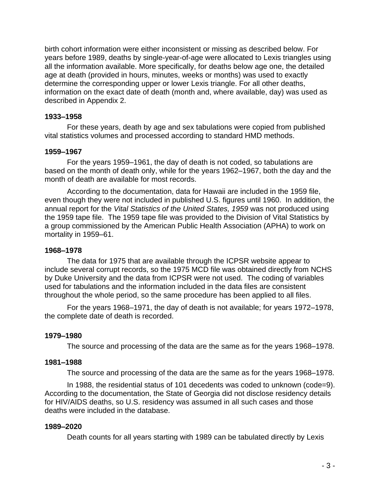birth cohort information were either inconsistent or missing as described below. For years before 1989, deaths by single-year-of-age were allocated to Lexis triangles using all the information available. More specifically, for deaths below age one, the detailed age at death (provided in hours, minutes, weeks or months) was used to exactly determine the corresponding upper or lower Lexis triangle. For all other deaths, information on the exact date of death (month and, where available, day) was used as described in Appendix 2.

#### **1933–1958**

For these years, death by age and sex tabulations were copied from published vital statistics volumes and processed according to standard HMD methods.

#### **1959–1967**

For the years 1959–1961, the day of death is not coded, so tabulations are based on the month of death only, while for the years 1962–1967, both the day and the month of death are available for most records.

According to the documentation, data for Hawaii are included in the 1959 file, even though they were not included in published U.S. figures until 1960. In addition, the annual report for the *Vital Statistics of the United States, 1959* was not produced using the 1959 tape file. The 1959 tape file was provided to the Division of Vital Statistics by a group commissioned by the American Public Health Association (APHA) to work on mortality in 1959–61.

#### **1968–1978**

The data for 1975 that are available through the ICPSR website appear to include several corrupt records, so the 1975 MCD file was obtained directly from NCHS by Duke University and the data from ICPSR were not used. The coding of variables used for tabulations and the information included in the data files are consistent throughout the whole period, so the same procedure has been applied to all files.

For the years 1968–1971, the day of death is not available; for years 1972–1978, the complete date of death is recorded.

#### **1979–1980**

The source and processing of the data are the same as for the years 1968–1978.

#### **1981–1988**

The source and processing of the data are the same as for the years 1968–1978.

In 1988, the residential status of 101 decedents was coded to unknown (code=9). According to the documentation, the State of Georgia did not disclose residency details for HIV/AIDS deaths, so U.S. residency was assumed in all such cases and those deaths were included in the database.

#### **1989–2020**

Death counts for all years starting with 1989 can be tabulated directly by Lexis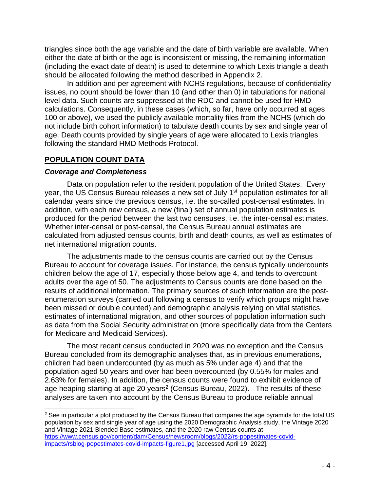triangles since both the age variable and the date of birth variable are available. When either the date of birth or the age is inconsistent or missing, the remaining information (including the exact date of death) is used to determine to which Lexis triangle a death should be allocated following the method described in Appendix 2.

In addition and per agreement with NCHS regulations, because of confidentiality issues, no count should be lower than 10 (and other than 0) in tabulations for national level data. Such counts are suppressed at the RDC and cannot be used for HMD calculations. Consequently, in these cases (which, so far, have only occurred at ages 100 or above), we used the publicly available mortality files from the NCHS (which do not include birth cohort information) to tabulate death counts by sex and single year of age. Death counts provided by single years of age were allocated to Lexis triangles following the standard HMD Methods Protocol.

#### **POPULATION COUNT DATA**

#### *Coverage and Completeness*

Data on population refer to the resident population of the United States. Every year, the US Census Bureau releases a new set of July 1<sup>st</sup> population estimates for all calendar years since the previous census, i.e. the so-called post-censal estimates. In addition, with each new census, a new (final) set of annual population estimates is produced for the period between the last two censuses, i.e. the inter-censal estimates. Whether inter-censal or post-censal, the Census Bureau annual estimates are calculated from adjusted census counts, birth and death counts, as well as estimates of net international migration counts.

The adjustments made to the census counts are carried out by the Census Bureau to account for coverage issues. For instance, the census typically undercounts children below the age of 17, especially those below age 4, and tends to overcount adults over the age of 50. The adjustments to Census counts are done based on the results of additional information. The primary sources of such information are the postenumeration surveys (carried out following a census to verify which groups might have been missed or double counted) and demographic analysis relying on vital statistics, estimates of international migration, and other sources of population information such as data from the Social Security administration (more specifically data from the Centers for Medicare and Medicaid Services).

The most recent census conducted in 2020 was no exception and the Census Bureau concluded from its demographic analyses that, as in previous enumerations, children had been undercounted (by as much as 5% under age 4) and that the population aged 50 years and over had been overcounted (by 0.55% for males and 2.63% for females). In addition, the census counts were found to exhibit evidence of age heaping starting at age 20 years<sup>2</sup> (Census Bureau, 2022). The results of these analyses are taken into account by the Census Bureau to produce reliable annual

 $2$  See in particular a plot produced by the Census Bureau that compares the age pyramids for the total US population by sex and single year of age using the 2020 Demographic Analysis study, the Vintage 2020 and Vintage 2021 Blended Base estimates, and the 2020 raw Census counts at [https://www.census.gov/content/dam/Census/newsroom/blogs/2022/rs-popestimates-covid](https://www.census.gov/content/dam/Census/newsroom/blogs/2022/rs-popestimates-covid-impacts/rsblog-popestimates-covid-impacts-figure1.jpg)[impacts/rsblog-popestimates-covid-impacts-figure1.jpg](https://www.census.gov/content/dam/Census/newsroom/blogs/2022/rs-popestimates-covid-impacts/rsblog-popestimates-covid-impacts-figure1.jpg) [accessed April 19, 2022].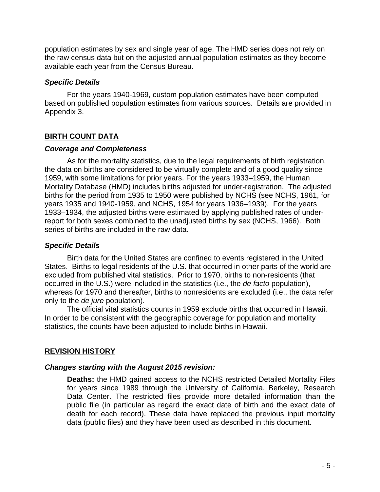population estimates by sex and single year of age. The HMD series does not rely on the raw census data but on the adjusted annual population estimates as they become available each year from the Census Bureau.

#### *Specific Details*

For the years 1940-1969, custom population estimates have been computed based on published population estimates from various sources. Details are provided in Appendix 3.

#### **BIRTH COUNT DATA**

#### *Coverage and Completeness*

As for the mortality statistics, due to the legal requirements of birth registration, the data on births are considered to be virtually complete and of a good quality since 1959, with some limitations for prior years. For the years 1933–1959, the Human Mortality Database (HMD) includes births adjusted for under-registration. The adjusted births for the period from 1935 to 1950 were published by NCHS (see NCHS, 1961, for years 1935 and 1940-1959, and NCHS, 1954 for years 1936–1939). For the years 1933–1934, the adjusted births were estimated by applying published rates of underreport for both sexes combined to the unadjusted births by sex (NCHS, 1966). Both series of births are included in the raw data.

#### *Specific Details*

Birth data for the United States are confined to events registered in the United States. Births to legal residents of the U.S. that occurred in other parts of the world are excluded from published vital statistics. Prior to 1970, births to non-residents (that occurred in the U.S.) were included in the statistics (i.e., the *de facto* population), whereas for 1970 and thereafter, births to nonresidents are excluded (i.e., the data refer only to the *de jure* population).

The official vital statistics counts in 1959 exclude births that occurred in Hawaii. In order to be consistent with the geographic coverage for population and mortality statistics, the counts have been adjusted to include births in Hawaii.

#### **REVISION HISTORY**

#### *Changes starting with the August 2015 revision:*

**Deaths:** the HMD gained access to the NCHS restricted Detailed Mortality Files for years since 1989 through the University of California, Berkeley, Research Data Center. The restricted files provide more detailed information than the public file (in particular as regard the exact date of birth and the exact date of death for each record). These data have replaced the previous input mortality data (public files) and they have been used as described in this document.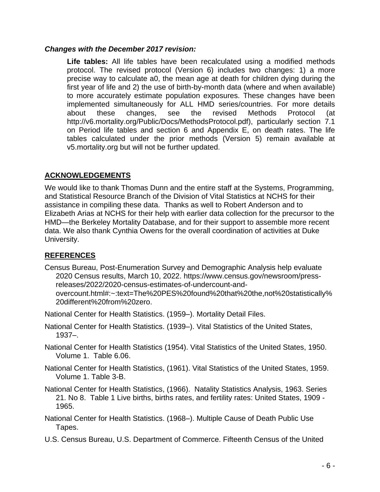#### *Changes with the December 2017 revision:*

**Life tables:** All life tables have been recalculated using a modified methods protocol. The revised protocol (Version 6) includes two changes: 1) a more precise way to calculate a0, the mean age at death for children dying during the first year of life and 2) the use of birth-by-month data (where and when available) to more accurately estimate population exposures. These changes have been implemented simultaneously for ALL HMD series/countries. For more details about these changes, see the revised Methods Protocol (at http://v6.mortality.org/Public/Docs/MethodsProtocol.pdf), particularly section 7.1 on Period life tables and section 6 and Appendix E, on death rates. The life tables calculated under the prior methods (Version 5) remain available at v5.mortality.org but will not be further updated.

#### **ACKNOWLEDGEMENTS**

We would like to thank Thomas Dunn and the entire staff at the Systems, Programming, and Statistical Resource Branch of the Division of Vital Statistics at NCHS for their assistance in compiling these data. Thanks as well to Robert Anderson and to Elizabeth Arias at NCHS for their help with earlier data collection for the precursor to the HMD—the Berkeley Mortality Database, and for their support to assemble more recent data. We also thank Cynthia Owens for the overall coordination of activities at Duke University.

#### **REFERENCES**

Census Bureau, Post-Enumeration Survey and Demographic Analysis help evaluate 2020 Census results, March 10, 2022. https://www.census.gov/newsroom/pressreleases/2022/2020-census-estimates-of-undercount-andovercount.html#:~:text=The%20PES%20found%20that%20the,not%20statistically% 20different%20from%20zero.

National Center for Health Statistics. (1959–). Mortality Detail Files.

- National Center for Health Statistics. (1939–). Vital Statistics of the United States, 1937–.
- National Center for Health Statistics (1954). Vital Statistics of the United States, 1950. Volume 1. Table 6.06.
- National Center for Health Statistics, (1961). Vital Statistics of the United States, 1959. Volume 1. Table 3-B.
- National Center for Health Statistics, (1966). Natality Statistics Analysis, 1963. Series 21. No 8. Table 1 Live births, births rates, and fertility rates: United States, 1909 - 1965.
- National Center for Health Statistics. (1968–). Multiple Cause of Death Public Use Tapes.
- U.S. Census Bureau, U.S. Department of Commerce. Fifteenth Census of the United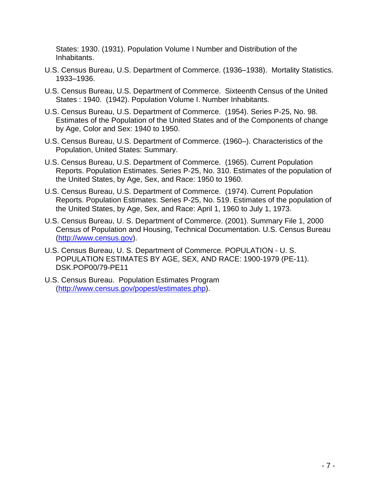States: 1930. (1931). Population Volume I Number and Distribution of the Inhabitants.

- U.S. Census Bureau, U.S. Department of Commerce. (1936–1938). Mortality Statistics. 1933–1936.
- U.S. Census Bureau, U.S. Department of Commerce. Sixteenth Census of the United States : 1940. (1942). Population Volume I. Number Inhabitants.
- U.S. Census Bureau, U.S. Department of Commerce. (1954). Series P-25, No. 98. Estimates of the Population of the United States and of the Components of change by Age, Color and Sex: 1940 to 1950.
- U.S. Census Bureau, U.S. Department of Commerce. (1960–). Characteristics of the Population, United States: Summary.
- U.S. Census Bureau, U.S. Department of Commerce. (1965). Current Population Reports. Population Estimates. Series P-25, No. 310. Estimates of the population of the United States, by Age, Sex, and Race: 1950 to 1960.
- U.S. Census Bureau, U.S. Department of Commerce. (1974). Current Population Reports. Population Estimates. Series P-25, No. 519. Estimates of the population of the United States, by Age, Sex, and Race: April 1, 1960 to July 1, 1973.
- U.S. Census Bureau, U. S. Department of Commerce. (2001). Summary File 1, 2000 Census of Population and Housing, Technical Documentation. U.S. Census Bureau [\(http://www.census.gov\)](http://www.census.gov/).
- U.S. Census Bureau, U. S. Department of Commerce. POPULATION U. S. POPULATION ESTIMATES BY AGE, SEX, AND RACE: 1900-1979 (PE-11). DSK.POP00/79-PE11
- U.S. Census Bureau. Population Estimates Program [\(http://www.census.gov/popest/estimates.php\)](http://www.census.gov/popest/estimates.php).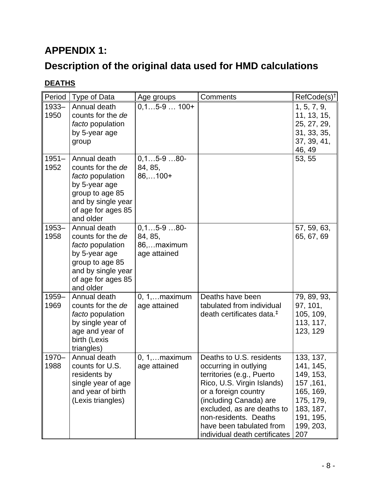# **APPENDIX 1:**

# **Description of the original data used for HMD calculations**

### **DEATHS**

| Period           | Type of Data                                                                                                                                              | Age groups                                               | Comments                                                                                                                                                                                                                                                                           | RefCode(s) <sup>+</sup>                                                                                                  |
|------------------|-----------------------------------------------------------------------------------------------------------------------------------------------------------|----------------------------------------------------------|------------------------------------------------------------------------------------------------------------------------------------------------------------------------------------------------------------------------------------------------------------------------------------|--------------------------------------------------------------------------------------------------------------------------|
| $1933 -$<br>1950 | Annual death<br>counts for the de<br>facto population<br>by 5-year age<br>group                                                                           | $0,15-9100+$                                             |                                                                                                                                                                                                                                                                                    | 1, 5, 7, 9,<br>11, 13, 15,<br>25, 27, 29,<br>31, 33, 35,<br>37, 39, 41,<br>46, 49                                        |
| $1951 -$<br>1952 | Annual death<br>counts for the de<br>facto population<br>by 5-year age<br>group to age 85<br>and by single year<br>of age for ages 85<br>and older        | $0, 15 - 980 -$<br>84, 85,<br>$86,100+$                  |                                                                                                                                                                                                                                                                                    | 53, 55                                                                                                                   |
| $1953 -$<br>1958 | Annual death<br>counts for the de<br><i>facto</i> population<br>by 5-year age<br>group to age 85<br>and by single year<br>of age for ages 85<br>and older | $0, 15 - 980 -$<br>84, 85,<br>86,maximum<br>age attained |                                                                                                                                                                                                                                                                                    | 57, 59, 63,<br>65, 67, 69                                                                                                |
| 1959-<br>1969    | Annual death<br>counts for the de<br>facto population<br>by single year of<br>age and year of<br>birth (Lexis<br>triangles)                               | $0, 1, \ldots$ maximum<br>age attained                   | Deaths have been<br>tabulated from individual<br>death certificates data. <sup>‡</sup>                                                                                                                                                                                             | 79, 89, 93,<br>97, 101,<br>105, 109,<br>113, 117,<br>123, 129                                                            |
| $1970 -$<br>1988 | Annual death<br>counts for U.S.<br>residents by<br>single year of age<br>and year of birth<br>(Lexis triangles)                                           | $0, 1, \ldots$ maximum<br>age attained                   | Deaths to U.S. residents<br>occurring in outlying<br>territories (e.g., Puerto<br>Rico, U.S. Virgin Islands)<br>or a foreign country<br>(including Canada) are<br>excluded, as are deaths to<br>non-residents. Deaths<br>have been tabulated from<br>individual death certificates | 133, 137,<br>141, 145,<br>149, 153,<br>157, 161,<br>165, 169,<br>175, 179,<br>183, 187,<br>191, 195,<br>199, 203,<br>207 |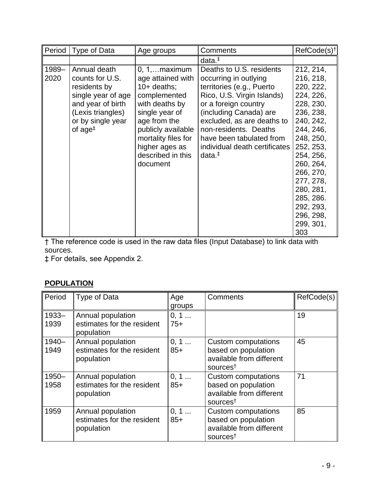| Period | Type of Data        | Age groups             | Comments                      | RefCode(s) <sup>†</sup> |
|--------|---------------------|------------------------|-------------------------------|-------------------------|
|        |                     |                        | $data.*$                      |                         |
| 1989-  | Annual death        | $0, 1, \ldots$ maximum | Deaths to U.S. residents      | 212, 214,               |
| 2020   | counts for U.S.     | age attained with      | occurring in outlying         | 216, 218,               |
|        | residents by        | $10+$ deaths;          | territories (e.g., Puerto     | 220, 222,               |
|        | single year of age  | complemented           | Rico, U.S. Virgin Islands)    | 224, 226,               |
|        | and year of birth   | with deaths by         | or a foreign country          | 228, 230,               |
|        | (Lexis triangles)   | single year of         | (including Canada) are        | 236, 238,               |
|        | or by single year   | age from the           | excluded, as are deaths to    | 240, 242,               |
|        | of $age^{\ddagger}$ | publicly available     | non-residents. Deaths         | 244, 246,               |
|        |                     | mortality files for    | have been tabulated from      | 248, 250,               |
|        |                     | higher ages as         | individual death certificates | 252, 253,               |
|        |                     | described in this      | $data.*$                      | 254, 256,               |
|        |                     | document               |                               | 260, 264,               |
|        |                     |                        |                               | 266, 270,               |
|        |                     |                        |                               | 277, 278,               |
|        |                     |                        |                               | 280, 281,               |
|        |                     |                        |                               | 285, 286.               |
|        |                     |                        |                               | 292, 293,               |
|        |                     |                        |                               | 296, 298,               |
|        |                     |                        |                               | 299, 301,               |
|        |                     |                        |                               | 303                     |

† The reference code is used in the raw data files (Input Database) to link data with sources.

‡ For details, see Appendix 2.

### **POPULATION**

| Period   | Type of Data                             | Age    | Comments                                         | RefCode(s) |
|----------|------------------------------------------|--------|--------------------------------------------------|------------|
|          |                                          | groups |                                                  |            |
| $1933 -$ | Annual population                        | 0, 1   |                                                  | 19         |
| 1939     | estimates for the resident<br>population | 75+    |                                                  |            |
| 1940-    | Annual population                        | 0, 1   | Custom computations                              | 45         |
| 1949     | estimates for the resident               | $85+$  | based on population                              |            |
|          | population                               |        | available from different<br>sources <sup>†</sup> |            |
| $1950 -$ | Annual population                        | 0, 1   | <b>Custom computations</b>                       | 71         |
| 1958     | estimates for the resident               | $85+$  | based on population                              |            |
|          | population                               |        | available from different                         |            |
|          |                                          |        | sources <sup>†</sup>                             |            |
| 1959     | Annual population                        | 0, 1   | <b>Custom computations</b>                       | 85         |
|          | estimates for the resident               | $85+$  | based on population                              |            |
|          | population                               |        | available from different                         |            |
|          |                                          |        | sources <sup>†</sup>                             |            |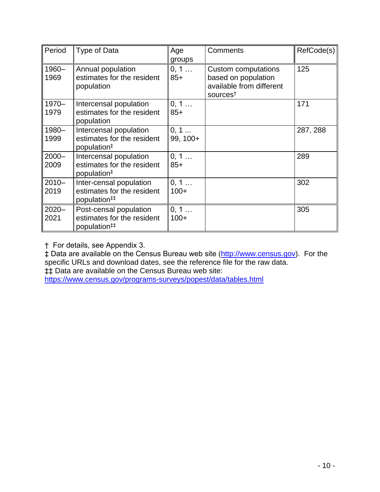| Period           | Type of Data                                                                      | Age<br>groups    | Comments                                                                                              | RefCode(s) |
|------------------|-----------------------------------------------------------------------------------|------------------|-------------------------------------------------------------------------------------------------------|------------|
| 1960-<br>1969    | Annual population<br>estimates for the resident<br>population                     | 0, 1<br>$85+$    | <b>Custom computations</b><br>based on population<br>available from different<br>sources <sup>†</sup> | 125        |
| 1970-<br>1979    | Intercensal population<br>estimates for the resident<br>population                | 0, 1<br>$85+$    |                                                                                                       | 171        |
| 1980-<br>1999    | Intercensal population<br>estimates for the resident<br>population <sup>#</sup>   | 0, 1<br>99, 100+ |                                                                                                       | 287, 288   |
| $2000 -$<br>2009 | Intercensal population<br>estimates for the resident<br>population <sup>#</sup>   | 0, 1<br>$85+$    |                                                                                                       | 289        |
| $2010 -$<br>2019 | Inter-censal population<br>estimates for the resident<br>population <sup>##</sup> | 0, 1<br>$100+$   |                                                                                                       | 302        |
| $2020 -$<br>2021 | Post-censal population<br>estimates for the resident<br>population <sup>##</sup>  | 0, 1<br>$100+$   |                                                                                                       | 305        |

† For details, see Appendix 3.

‡ Data are available on the Census Bureau web site [\(http://www.census.gov\)](http://www.census.gov/). For the specific URLs and download dates, see the reference file for the raw data. ‡‡ Data are available on the Census Bureau web site: <https://www.census.gov/programs-surveys/popest/data/tables.html>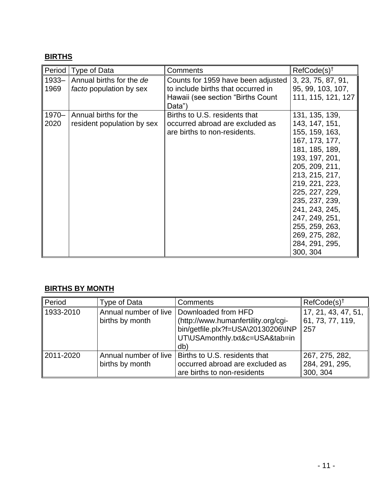## **BIRTHS**

| Period           | Type of Data                                        | Comments                                                                                                                 | RefCode(s) <sup>†</sup>                                                                                                                                                                                                                                                                                  |
|------------------|-----------------------------------------------------|--------------------------------------------------------------------------------------------------------------------------|----------------------------------------------------------------------------------------------------------------------------------------------------------------------------------------------------------------------------------------------------------------------------------------------------------|
| $1933 -$<br>1969 | Annual births for the de<br>facto population by sex | Counts for 1959 have been adjusted<br>to include births that occurred in<br>Hawaii (see section "Births Count"<br>Data") | 3, 23, 75, 87, 91,<br>95, 99, 103, 107,<br>111, 115, 121, 127                                                                                                                                                                                                                                            |
| $1970 -$<br>2020 | Annual births for the<br>resident population by sex | Births to U.S. residents that<br>occurred abroad are excluded as<br>are births to non-residents.                         | 131, 135, 139,<br>143, 147, 151,<br>155, 159, 163,<br>167, 173, 177,<br>181, 185, 189,<br>193, 197, 201,<br>205, 209, 211,<br>213, 215, 217,<br>219, 221, 223,<br>225, 227, 229,<br>235, 237, 239,<br>241, 243, 245,<br>247, 249, 251,<br>255, 259, 263,<br>269, 275, 282,<br>284, 291, 295,<br>300, 304 |

### **BIRTHS BY MONTH**

| Period    | Type of Data                             | Comments                                                                                                                                  | $RefCode(s)^{\dagger}$                         |
|-----------|------------------------------------------|-------------------------------------------------------------------------------------------------------------------------------------------|------------------------------------------------|
| 1933-2010 | Annual number of live<br>births by month | Downloaded from HFD<br>(http://www.humanfertility.org/cgi-<br>bin/getfile.plx?f=USA\20130206\INP<br>UT\USAmonthly.txt&c=USA&tab=in<br>db) | 17, 21, 43, 47, 51,<br>61, 73, 77, 119,<br>257 |
| 2011-2020 | Annual number of live<br>births by month | Births to U.S. residents that<br>occurred abroad are excluded as<br>are births to non-residents                                           | 267, 275, 282,<br>284, 291, 295,<br>300, 304   |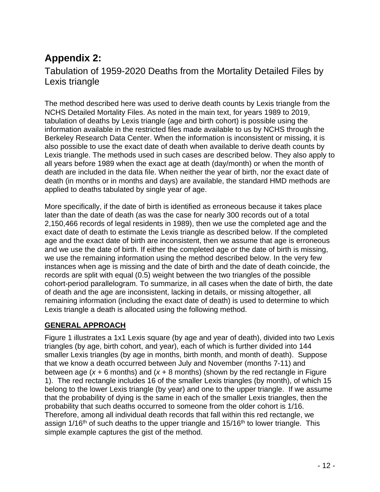# **Appendix 2:**

## Tabulation of 1959-2020 Deaths from the Mortality Detailed Files by Lexis triangle

The method described here was used to derive death counts by Lexis triangle from the NCHS Detailed Mortality Files. As noted in the main text, for years 1989 to 2019, tabulation of deaths by Lexis triangle (age and birth cohort) is possible using the information available in the restricted files made available to us by NCHS through the Berkeley Research Data Center. When the information is inconsistent or missing, it is also possible to use the exact date of death when available to derive death counts by Lexis triangle. The methods used in such cases are described below. They also apply to all years before 1989 when the exact age at death (day/month) or when the month of death are included in the data file. When neither the year of birth, nor the exact date of death (in months or in months and days) are available, the standard HMD methods are applied to deaths tabulated by single year of age.

More specifically, if the date of birth is identified as erroneous because it takes place later than the date of death (as was the case for nearly 300 records out of a total 2,150,466 records of legal residents in 1989), then we use the completed age and the exact date of death to estimate the Lexis triangle as described below. If the completed age and the exact date of birth are inconsistent, then we assume that age is erroneous and we use the date of birth. If either the completed age or the date of birth is missing, we use the remaining information using the method described below. In the very few instances when age is missing and the date of birth and the date of death coincide, the records are split with equal (0.5) weight between the two triangles of the possible cohort-period parallelogram. To summarize, in all cases when the date of birth, the date of death and the age are inconsistent, lacking in details, or missing altogether, all remaining information (including the exact date of death) is used to determine to which Lexis triangle a death is allocated using the following method.

### **GENERAL APPROACH**

Figure 1 illustrates a 1x1 Lexis square (by age and year of death), divided into two Lexis triangles (by age, birth cohort, and year), each of which is further divided into 144 smaller Lexis triangles (by age in months, birth month, and month of death). Suppose that we know a death occurred between July and November (months 7-11) and between age (*x* + 6 months) and (*x* + 8 months) (shown by the red rectangle in Figure 1). The red rectangle includes 16 of the smaller Lexis triangles (by month), of which 15 belong to the lower Lexis triangle (by year) and one to the upper triangle. If we assume that the probability of dying is the same in each of the smaller Lexis triangles, then the probability that such deaths occurred to someone from the older cohort is 1/16. Therefore, among all individual death records that fall within this red rectangle, we assign 1/16<sup>th</sup> of such deaths to the upper triangle and 15/16<sup>th</sup> to lower triangle. This simple example captures the gist of the method.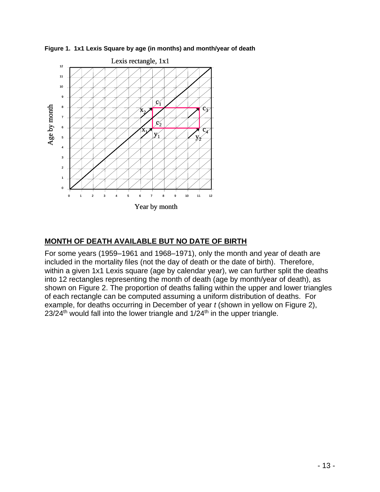

**Figure 1. 1x1 Lexis Square by age (in months) and month/year of death**

### **MONTH OF DEATH AVAILABLE BUT NO DATE OF BIRTH**

For some years (1959–1961 and 1968–1971), only the month and year of death are included in the mortality files (not the day of death or the date of birth). Therefore, within a given 1x1 Lexis square (age by calendar year), we can further split the deaths into 12 rectangles representing the month of death (age by month/year of death), as shown on Figure 2. The proportion of deaths falling within the upper and lower triangles of each rectangle can be computed assuming a uniform distribution of deaths. For example, for deaths occurring in December of year *t* (shown in yellow on Figure 2),  $23/24$ <sup>th</sup> would fall into the lower triangle and  $1/24$ <sup>th</sup> in the upper triangle.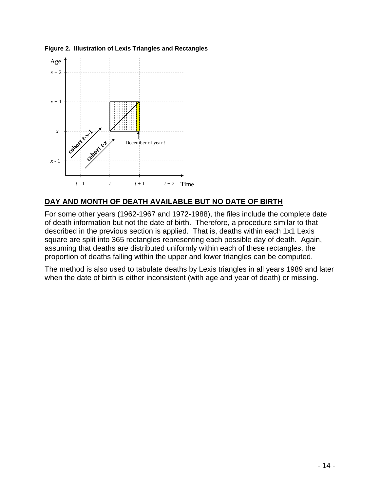



#### **DAY AND MONTH OF DEATH AVAILABLE BUT NO DATE OF BIRTH**

For some other years (1962-1967 and 1972-1988), the files include the complete date of death information but not the date of birth. Therefore, a procedure similar to that described in the previous section is applied. That is, deaths within each 1x1 Lexis square are split into 365 rectangles representing each possible day of death. Again, assuming that deaths are distributed uniformly within each of these rectangles, the proportion of deaths falling within the upper and lower triangles can be computed.

The method is also used to tabulate deaths by Lexis triangles in all years 1989 and later when the date of birth is either inconsistent (with age and year of death) or missing.